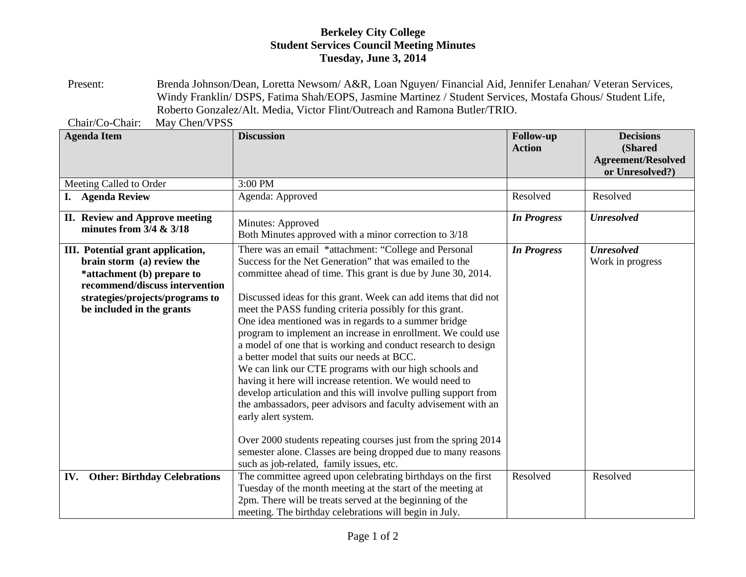## **Berkeley City College Student Services Council Meeting Minutes Tuesday, June 3, 2014**

Present: Brenda Johnson/Dean, Loretta Newsom/ A&R, Loan Nguyen/ Financial Aid, Jennifer Lenahan/ Veteran Services, Windy Franklin/ DSPS, Fatima Shah/EOPS, Jasmine Martinez / Student Services, Mostafa Ghous/ Student Life, Roberto Gonzalez/Alt. Media, Victor Flint/Outreach and Ramona Butler/TRIO.

Chair/Co-Chair: May Chen/VPSS

| <b>Agenda Item</b>                                                                                                                                                                              | <b>Discussion</b>                                                                                                                                                                                                                                                                                                                                                                                                                                                                                                                                                                                                                                                                                                                                                                                                                                                                                                                                                                                                      | <b>Follow-up</b><br><b>Action</b> | <b>Decisions</b><br>(Shared<br><b>Agreement/Resolved</b><br>or Unresolved?) |
|-------------------------------------------------------------------------------------------------------------------------------------------------------------------------------------------------|------------------------------------------------------------------------------------------------------------------------------------------------------------------------------------------------------------------------------------------------------------------------------------------------------------------------------------------------------------------------------------------------------------------------------------------------------------------------------------------------------------------------------------------------------------------------------------------------------------------------------------------------------------------------------------------------------------------------------------------------------------------------------------------------------------------------------------------------------------------------------------------------------------------------------------------------------------------------------------------------------------------------|-----------------------------------|-----------------------------------------------------------------------------|
| Meeting Called to Order                                                                                                                                                                         | 3:00 PM                                                                                                                                                                                                                                                                                                                                                                                                                                                                                                                                                                                                                                                                                                                                                                                                                                                                                                                                                                                                                |                                   |                                                                             |
| <b>Agenda Review</b><br>I.                                                                                                                                                                      | Agenda: Approved                                                                                                                                                                                                                                                                                                                                                                                                                                                                                                                                                                                                                                                                                                                                                                                                                                                                                                                                                                                                       | Resolved                          | Resolved                                                                    |
| II. Review and Approve meeting<br>minutes from $3/4 \& 3/18$                                                                                                                                    | Minutes: Approved<br>Both Minutes approved with a minor correction to 3/18                                                                                                                                                                                                                                                                                                                                                                                                                                                                                                                                                                                                                                                                                                                                                                                                                                                                                                                                             | <b>In Progress</b>                | <b>Unresolved</b>                                                           |
| III. Potential grant application,<br>brain storm (a) review the<br>*attachment (b) prepare to<br>recommend/discuss intervention<br>strategies/projects/programs to<br>be included in the grants | There was an email *attachment: "College and Personal<br>Success for the Net Generation" that was emailed to the<br>committee ahead of time. This grant is due by June 30, 2014.<br>Discussed ideas for this grant. Week can add items that did not<br>meet the PASS funding criteria possibly for this grant.<br>One idea mentioned was in regards to a summer bridge<br>program to implement an increase in enrollment. We could use<br>a model of one that is working and conduct research to design<br>a better model that suits our needs at BCC.<br>We can link our CTE programs with our high schools and<br>having it here will increase retention. We would need to<br>develop articulation and this will involve pulling support from<br>the ambassadors, peer advisors and faculty advisement with an<br>early alert system.<br>Over 2000 students repeating courses just from the spring 2014<br>semester alone. Classes are being dropped due to many reasons<br>such as job-related, family issues, etc. | <b>In Progress</b>                | <b>Unresolved</b><br>Work in progress                                       |
| <b>Other: Birthday Celebrations</b><br>IV.                                                                                                                                                      | The committee agreed upon celebrating birthdays on the first<br>Tuesday of the month meeting at the start of the meeting at<br>2pm. There will be treats served at the beginning of the<br>meeting. The birthday celebrations will begin in July.                                                                                                                                                                                                                                                                                                                                                                                                                                                                                                                                                                                                                                                                                                                                                                      | Resolved                          | Resolved                                                                    |